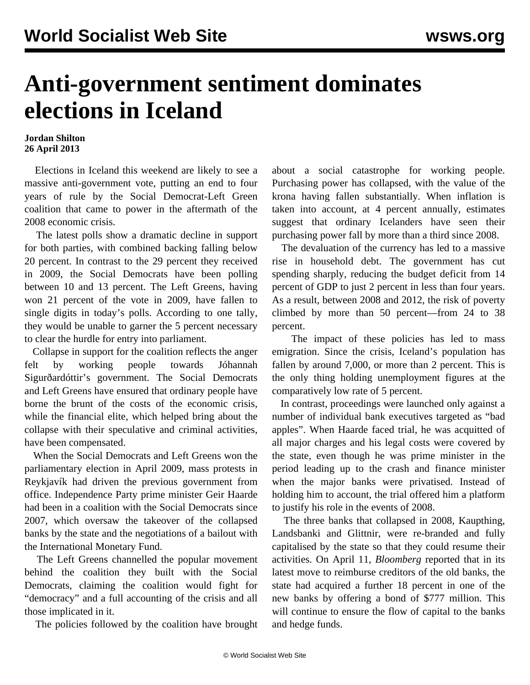## **Anti-government sentiment dominates elections in Iceland**

## **Jordan Shilton 26 April 2013**

 Elections in Iceland this weekend are likely to see a massive anti-government vote, putting an end to four years of rule by the Social Democrat-Left Green coalition that came to power in the aftermath of the 2008 economic crisis.

 The latest polls show a dramatic decline in support for both parties, with combined backing falling below 20 percent. In contrast to the 29 percent they received in 2009, the Social Democrats have been polling between 10 and 13 percent. The Left Greens, having won 21 percent of the vote in 2009, have fallen to single digits in today's polls. According to one tally, they would be unable to garner the 5 percent necessary to clear the hurdle for entry into parliament.

 Collapse in support for the coalition reflects the anger felt by working people towards Jóhannah Sigurðardóttir's government. The Social Democrats and Left Greens have ensured that ordinary people have borne the brunt of the costs of the economic crisis, while the financial elite, which helped bring about the collapse with their speculative and criminal activities, have been compensated.

 When the Social Democrats and Left Greens won the parliamentary election in April 2009, mass protests in Reykjavík had driven the previous government from office. Independence Party prime minister Geir Haarde had been in a coalition with the Social Democrats since 2007, which oversaw the takeover of the collapsed banks by the state and the negotiations of a bailout with the International Monetary Fund.

 The Left Greens channelled the popular movement behind the coalition they built with the Social Democrats, claiming the coalition would fight for "democracy" and a full accounting of the crisis and all those implicated in it.

The policies followed by the coalition have brought

about a social catastrophe for working people. Purchasing power has collapsed, with the value of the krona having fallen substantially. When inflation is taken into account, at 4 percent annually, estimates suggest that ordinary Icelanders have seen their purchasing power fall by more than a third since 2008.

 The devaluation of the currency has led to a massive rise in household debt. The government has cut spending sharply, reducing the budget deficit from 14 percent of GDP to just 2 percent in less than four years. As a result, between 2008 and 2012, the risk of poverty climbed by more than 50 percent—from 24 to 38 percent.

 The impact of these policies has led to mass emigration. Since the crisis, Iceland's population has fallen by around 7,000, or more than 2 percent. This is the only thing holding unemployment figures at the comparatively low rate of 5 percent.

 In contrast, proceedings were launched only against a number of individual bank executives targeted as "bad apples". When Haarde faced trial, he was acquitted of all major charges and his legal costs were covered by the state, even though he was prime minister in the period leading up to the crash and finance minister when the major banks were privatised. Instead of holding him to account, the trial offered him a platform to justify his role in the events of 2008.

 The three banks that collapsed in 2008, Kaupthing, Landsbanki and Glittnir, were re-branded and fully capitalised by the state so that they could resume their activities. On April 11, *Bloomberg* reported that in its latest move to reimburse creditors of the old banks, the state had acquired a further 18 percent in one of the new banks by offering a bond of \$777 million. This will continue to ensure the flow of capital to the banks and hedge funds.